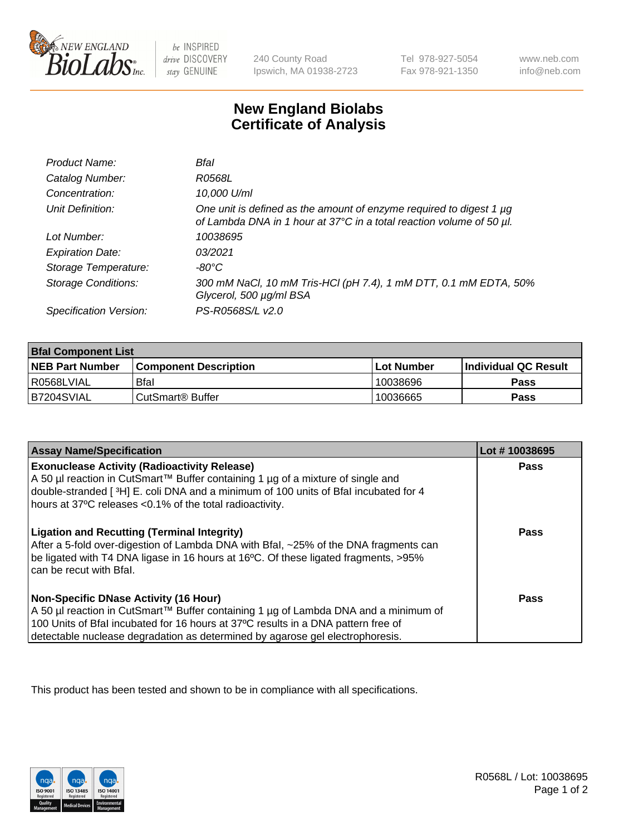

 $be$  INSPIRED drive DISCOVERY stay GENUINE

240 County Road Ipswich, MA 01938-2723 Tel 978-927-5054 Fax 978-921-1350 www.neb.com info@neb.com

## **New England Biolabs Certificate of Analysis**

| Product Name:              | Bfal                                                                                                                                             |
|----------------------------|--------------------------------------------------------------------------------------------------------------------------------------------------|
| Catalog Number:            | R0568L                                                                                                                                           |
| Concentration:             | 10,000 U/ml                                                                                                                                      |
| Unit Definition:           | One unit is defined as the amount of enzyme required to digest 1 $\mu$ g<br>of Lambda DNA in 1 hour at 37°C in a total reaction volume of 50 µl. |
| Lot Number:                | 10038695                                                                                                                                         |
| <b>Expiration Date:</b>    | 0.3/2021                                                                                                                                         |
| Storage Temperature:       | -80°C                                                                                                                                            |
| <b>Storage Conditions:</b> | 300 mM NaCl, 10 mM Tris-HCl (pH 7.4), 1 mM DTT, 0.1 mM EDTA, 50%<br>Glycerol, 500 µg/ml BSA                                                      |
| Specification Version:     | PS-R0568S/L v2.0                                                                                                                                 |

| <b>Bfal Component List</b> |                              |             |                             |  |
|----------------------------|------------------------------|-------------|-----------------------------|--|
| <b>NEB Part Number</b>     | <b>Component Description</b> | ⊺Lot Number | <b>Individual QC Result</b> |  |
| l R0568LVIAL               | <b>Bfal</b>                  | 10038696    | Pass                        |  |
| B7204SVIAL                 | l CutSmart® Buffer           | 10036665    | Pass                        |  |

| <b>Assay Name/Specification</b>                                                                                                                                                                                                                                                                           | Lot #10038695 |
|-----------------------------------------------------------------------------------------------------------------------------------------------------------------------------------------------------------------------------------------------------------------------------------------------------------|---------------|
| <b>Exonuclease Activity (Radioactivity Release)</b><br>A 50 µl reaction in CutSmart™ Buffer containing 1 µg of a mixture of single and<br>double-stranded [3H] E. coli DNA and a minimum of 100 units of Bfal incubated for 4<br>hours at 37°C releases <0.1% of the total radioactivity.                 | Pass          |
| <b>Ligation and Recutting (Terminal Integrity)</b><br>After a 5-fold over-digestion of Lambda DNA with Bfal, ~25% of the DNA fragments can<br>be ligated with T4 DNA ligase in 16 hours at 16°C. Of these ligated fragments, >95%<br>can be recut with Bfal.                                              | Pass          |
| <b>Non-Specific DNase Activity (16 Hour)</b><br>A 50 µl reaction in CutSmart™ Buffer containing 1 µg of Lambda DNA and a minimum of<br>100 Units of Bfal incubated for 16 hours at 37°C results in a DNA pattern free of<br>detectable nuclease degradation as determined by agarose gel electrophoresis. | Pass          |

This product has been tested and shown to be in compliance with all specifications.